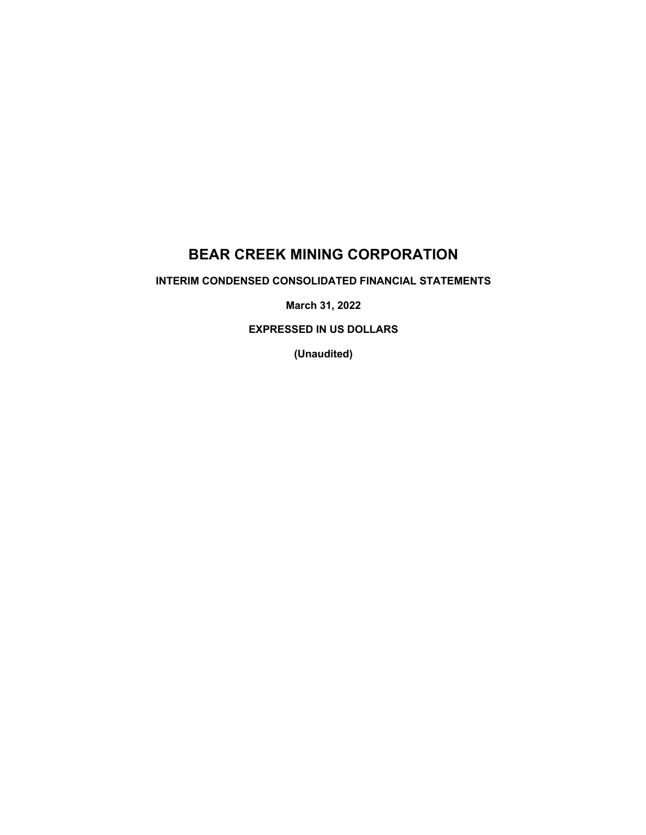# **BEAR CREEK MINING CORPORATION**

**INTERIM CONDENSED CONSOLIDATED FINANCIAL STATEMENTS**

**March 31, 2022**

**EXPRESSED IN US DOLLARS**

**(Unaudited)**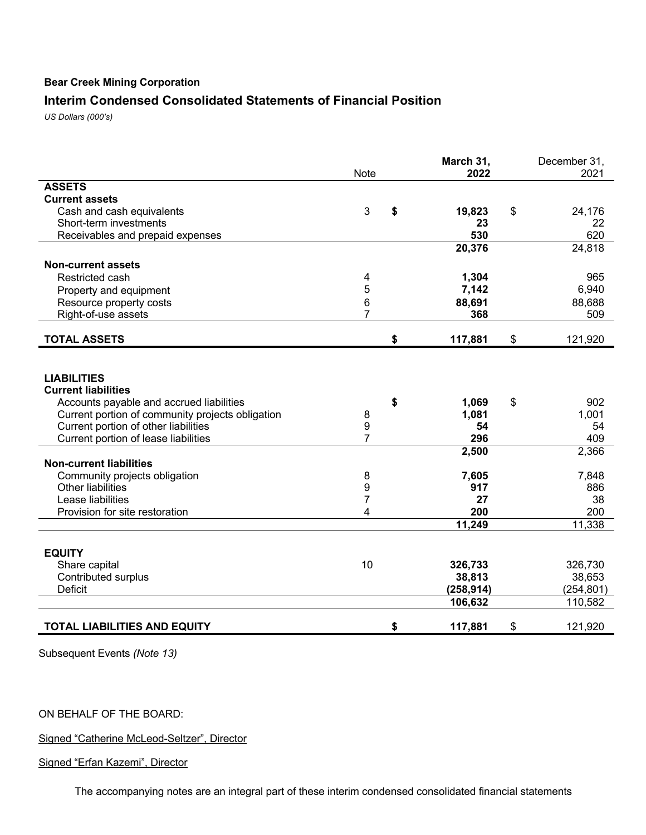# **Interim Condensed Consolidated Statements of Financial Position**

*US Dollars (000's)*

|                                                                                                                                                                                          | <b>Note</b>           | March 31,<br>2022                          | December 31,<br>2021                       |
|------------------------------------------------------------------------------------------------------------------------------------------------------------------------------------------|-----------------------|--------------------------------------------|--------------------------------------------|
| <b>ASSETS</b>                                                                                                                                                                            |                       |                                            |                                            |
| <b>Current assets</b>                                                                                                                                                                    |                       |                                            |                                            |
| Cash and cash equivalents                                                                                                                                                                | 3                     | \$<br>19,823                               | \$<br>24,176                               |
| Short-term investments                                                                                                                                                                   |                       | 23                                         | 22                                         |
| Receivables and prepaid expenses                                                                                                                                                         |                       | 530                                        | 620                                        |
|                                                                                                                                                                                          |                       | 20,376                                     | 24,818                                     |
| <b>Non-current assets</b>                                                                                                                                                                |                       |                                            |                                            |
| Restricted cash                                                                                                                                                                          | 4                     | 1,304                                      | 965                                        |
| Property and equipment                                                                                                                                                                   | 5                     | 7,142                                      | 6,940                                      |
| Resource property costs                                                                                                                                                                  | 6                     | 88,691                                     | 88,688                                     |
| Right-of-use assets                                                                                                                                                                      | 7                     | 368                                        | 509                                        |
|                                                                                                                                                                                          |                       |                                            |                                            |
| <b>TOTAL ASSETS</b>                                                                                                                                                                      |                       | \$<br>117,881                              | \$<br>121,920                              |
| <b>LIABILITIES</b><br><b>Current liabilities</b><br>Accounts payable and accrued liabilities<br>Current portion of community projects obligation<br>Current portion of other liabilities | 8<br>$\boldsymbol{9}$ | \$<br>1,069<br>1,081<br>54                 | \$<br>902<br>1,001<br>54                   |
| Current portion of lease liabilities                                                                                                                                                     | $\overline{7}$        | 296                                        | 409                                        |
|                                                                                                                                                                                          |                       | 2,500                                      | 2,366                                      |
| <b>Non-current liabilities</b>                                                                                                                                                           |                       |                                            |                                            |
| Community projects obligation                                                                                                                                                            | 8                     | 7,605                                      | 7,848                                      |
| <b>Other liabilities</b>                                                                                                                                                                 | 9                     | 917                                        | 886                                        |
| Lease liabilities                                                                                                                                                                        | 7                     | 27                                         | 38                                         |
| Provision for site restoration                                                                                                                                                           | 4                     | 200                                        | 200                                        |
|                                                                                                                                                                                          |                       | 11,249                                     | 11,338                                     |
| <b>EQUITY</b><br>Share capital<br>Contributed surplus<br><b>Deficit</b>                                                                                                                  | 10                    | 326,733<br>38,813<br>(258, 914)<br>106,632 | 326,730<br>38,653<br>(254, 801)<br>110,582 |
| <b>TOTAL LIABILITIES AND EQUITY</b>                                                                                                                                                      |                       | \$<br>117,881                              | \$<br>121,920                              |

Subsequent Events *(Note 13)*

ON BEHALF OF THE BOARD:

Signed "Catherine McLeod-Seltzer", Director

Signed "Erfan Kazemi", Director

The accompanying notes are an integral part of these interim condensed consolidated financial statements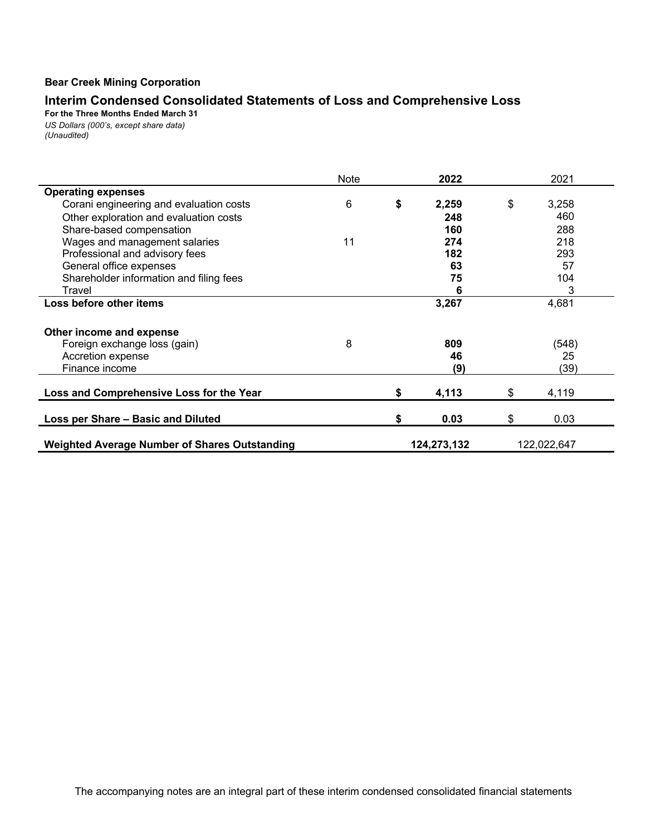## **Interim Condensed Consolidated Statements of Loss and Comprehensive Loss**

**For the Three Months Ended March 31** *US Dollars (000's, except share data) (Unaudited)*

|                                                      | Note |    | 2022        | 2021        |
|------------------------------------------------------|------|----|-------------|-------------|
| <b>Operating expenses</b>                            |      |    |             |             |
| Corani engineering and evaluation costs              | 6    | \$ | 2,259       | \$<br>3,258 |
| Other exploration and evaluation costs               |      |    | 248         | 460         |
| Share-based compensation                             |      |    | 160         | 288         |
| Wages and management salaries                        | 11   |    | 274         | 218         |
| Professional and advisory fees                       |      |    | 182         | 293         |
| General office expenses                              |      |    | 63          | 57          |
| Shareholder information and filing fees              |      |    | 75          | 104         |
| Travel                                               |      |    | 6           | 3           |
| Loss before other items                              |      |    | 3,267       | 4,681       |
| Other income and expense                             |      |    |             |             |
| Foreign exchange loss (gain)                         | 8    |    | 809         | (548)       |
| Accretion expense                                    |      |    | 46          | 25          |
| Finance income                                       |      |    | (9)         | (39)        |
| Loss and Comprehensive Loss for the Year             |      | \$ | 4,113       | \$<br>4,119 |
| Loss per Share - Basic and Diluted                   |      | S  | 0.03        | \$<br>0.03  |
| <b>Weighted Average Number of Shares Outstanding</b> |      |    | 124,273,132 | 122,022,647 |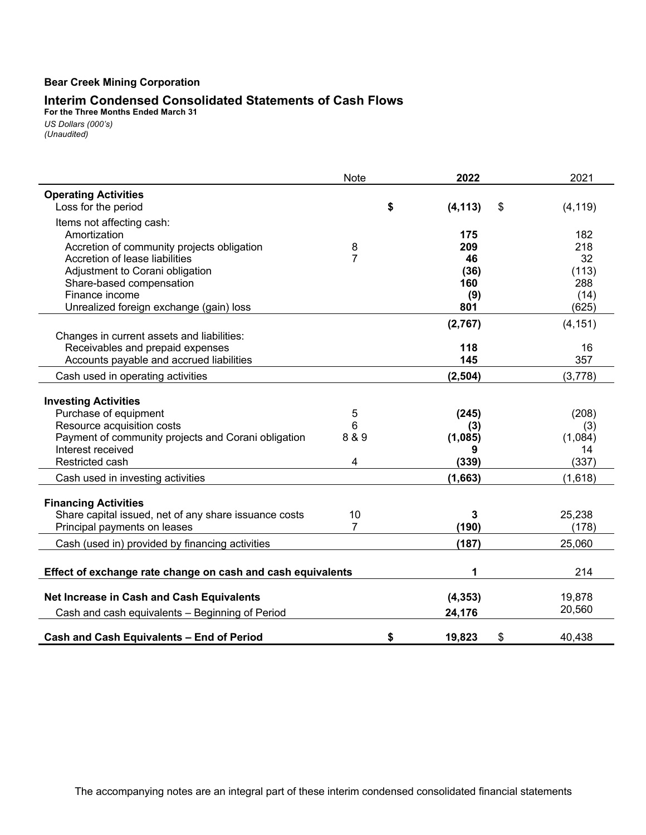#### **Interim Condensed Consolidated Statements of Cash Flows**

**For the Three Months Ended March 31** *US Dollars (000's) (Unaudited)*

|                                                                                   | <b>Note</b>    | 2022                 | 2021           |
|-----------------------------------------------------------------------------------|----------------|----------------------|----------------|
| <b>Operating Activities</b>                                                       |                |                      |                |
| Loss for the period                                                               |                | \$<br>(4, 113)<br>\$ | (4, 119)       |
| Items not affecting cash:                                                         |                |                      |                |
| Amortization                                                                      |                | 175                  | 182            |
| Accretion of community projects obligation                                        | 8              | 209                  | 218            |
| Accretion of lease liabilities                                                    | $\overline{7}$ | 46                   | 32             |
| Adjustment to Corani obligation                                                   |                | (36)                 | (113)          |
| Share-based compensation                                                          |                | 160                  | 288            |
| Finance income                                                                    |                | (9)                  | (14)           |
| Unrealized foreign exchange (gain) loss                                           |                | 801                  | (625)          |
|                                                                                   |                | (2,767)              | (4, 151)       |
| Changes in current assets and liabilities:                                        |                |                      |                |
| Receivables and prepaid expenses                                                  |                | 118                  | 16             |
| Accounts payable and accrued liabilities                                          |                | 145                  | 357            |
| Cash used in operating activities                                                 |                | (2, 504)             | (3,778)        |
|                                                                                   |                |                      |                |
| <b>Investing Activities</b>                                                       |                |                      |                |
| Purchase of equipment                                                             | 5              | (245)                | (208)          |
| Resource acquisition costs<br>Payment of community projects and Corani obligation | 6<br>8 & 9     | (3)                  | (3)<br>(1,084) |
| Interest received                                                                 |                | (1,085)<br>9         | 14             |
| Restricted cash                                                                   | 4              | (339)                | (337)          |
|                                                                                   |                | (1,663)              | (1,618)        |
| Cash used in investing activities                                                 |                |                      |                |
| <b>Financing Activities</b>                                                       |                |                      |                |
| Share capital issued, net of any share issuance costs                             | 10             | 3                    | 25,238         |
| Principal payments on leases                                                      | 7              | (190)                | (178)          |
| Cash (used in) provided by financing activities                                   |                | (187)                | 25,060         |
|                                                                                   |                |                      |                |
| Effect of exchange rate change on cash and cash equivalents                       |                | 1                    | 214            |
| Net Increase in Cash and Cash Equivalents                                         |                | (4, 353)             | 19,878         |
| Cash and cash equivalents - Beginning of Period                                   |                | 24,176               | 20,560         |
|                                                                                   |                |                      |                |
| <b>Cash and Cash Equivalents - End of Period</b>                                  |                | \$<br>\$<br>19,823   | 40,438         |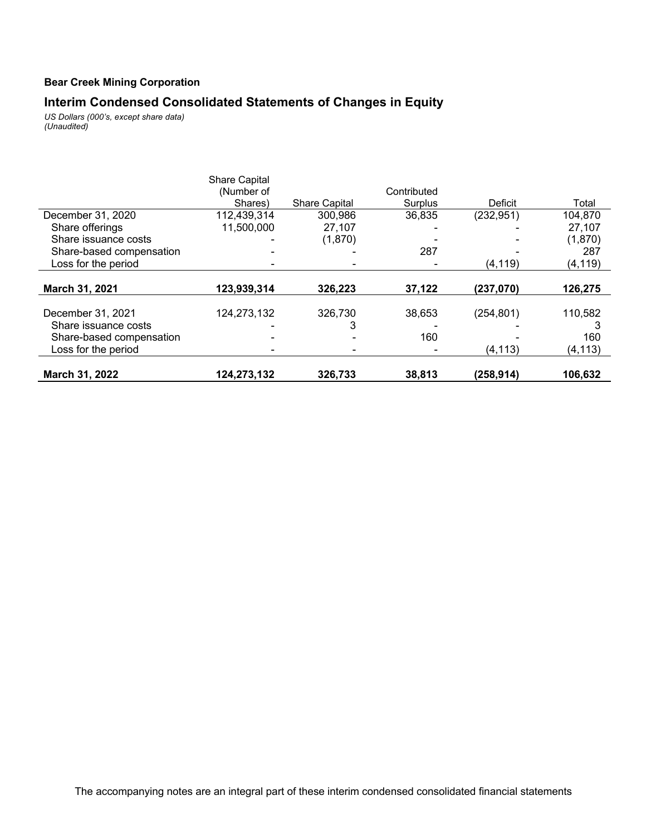## **Interim Condensed Consolidated Statements of Changes in Equity**

*US Dollars (000's, except share data) (Unaudited)*

|                          | <b>Share Capital</b><br>(Number of |                      | Contributed |            |          |
|--------------------------|------------------------------------|----------------------|-------------|------------|----------|
|                          | Shares)                            | <b>Share Capital</b> | Surplus     | Deficit    | Total    |
| December 31, 2020        | 112,439,314                        | 300,986              | 36,835      | (232, 951) | 104,870  |
| Share offerings          | 11,500,000                         | 27,107               |             |            | 27,107   |
| Share issuance costs     |                                    | (1,870)              |             |            | (1,870)  |
| Share-based compensation |                                    |                      | 287         |            | 287      |
| Loss for the period      |                                    |                      |             | (4, 119)   | (4, 119) |
| March 31, 2021           | 123,939,314                        | 326,223              | 37,122      | (237,070)  | 126,275  |
|                          |                                    |                      |             |            |          |
| December 31, 2021        | 124,273,132                        | 326,730              | 38,653      | (254, 801) | 110,582  |
| Share issuance costs     |                                    | 3                    |             |            |          |
| Share-based compensation |                                    |                      | 160         |            | 160      |
| Loss for the period      |                                    |                      |             | (4, 113)   | (4, 113) |
| March 31, 2022           | 124,273,132                        | 326,733              | 38,813      | (258, 914) | 106,632  |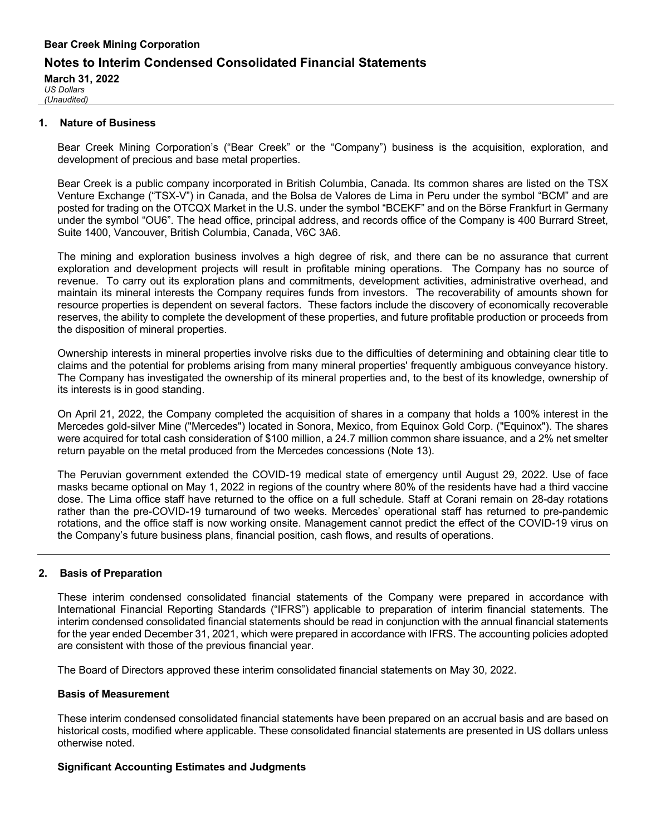## **Bear Creek Mining Corporation Notes to Interim Condensed Consolidated Financial Statements March 31, 2022**

*US Dollars (Unaudited)*

#### **1. Nature of Business**

Bear Creek Mining Corporation's ("Bear Creek" or the "Company") business is the acquisition, exploration, and development of precious and base metal properties.

Bear Creek is a public company incorporated in British Columbia, Canada. Its common shares are listed on the TSX Venture Exchange ("TSX-V") in Canada, and the Bolsa de Valores de Lima in Peru under the symbol "BCM" and are posted for trading on the OTCQX Market in the U.S. under the symbol "BCEKF" and on the Börse Frankfurt in Germany under the symbol "OU6". The head office, principal address, and records office of the Company is 400 Burrard Street, Suite 1400, Vancouver, British Columbia, Canada, V6C 3A6.

The mining and exploration business involves a high degree of risk, and there can be no assurance that current exploration and development projects will result in profitable mining operations. The Company has no source of revenue. To carry out its exploration plans and commitments, development activities, administrative overhead, and maintain its mineral interests the Company requires funds from investors. The recoverability of amounts shown for resource properties is dependent on several factors. These factors include the discovery of economically recoverable reserves, the ability to complete the development of these properties, and future profitable production or proceeds from the disposition of mineral properties.

Ownership interests in mineral properties involve risks due to the difficulties of determining and obtaining clear title to claims and the potential for problems arising from many mineral properties' frequently ambiguous conveyance history. The Company has investigated the ownership of its mineral properties and, to the best of its knowledge, ownership of its interests is in good standing.

On April 21, 2022, the Company completed the acquisition of shares in a company that holds a 100% interest in the Mercedes gold-silver Mine ("Mercedes") located in Sonora, Mexico, from Equinox Gold Corp. ("Equinox"). The shares were acquired for total cash consideration of \$100 million, a 24.7 million common share issuance, and a 2% net smelter return payable on the metal produced from the Mercedes concessions (Note 13).

The Peruvian government extended the COVID-19 medical state of emergency until August 29, 2022. Use of face masks became optional on May 1, 2022 in regions of the country where 80% of the residents have had a third vaccine dose. The Lima office staff have returned to the office on a full schedule. Staff at Corani remain on 28-day rotations rather than the pre-COVID-19 turnaround of two weeks. Mercedes' operational staff has returned to pre-pandemic rotations, and the office staff is now working onsite. Management cannot predict the effect of the COVID-19 virus on the Company's future business plans, financial position, cash flows, and results of operations.

#### **2. Basis of Preparation**

These interim condensed consolidated financial statements of the Company were prepared in accordance with International Financial Reporting Standards ("IFRS") applicable to preparation of interim financial statements. The interim condensed consolidated financial statements should be read in conjunction with the annual financial statements for the year ended December 31, 2021, which were prepared in accordance with IFRS. The accounting policies adopted are consistent with those of the previous financial year.

The Board of Directors approved these interim consolidated financial statements on May 30, 2022.

#### **Basis of Measurement**

These interim condensed consolidated financial statements have been prepared on an accrual basis and are based on historical costs, modified where applicable. These consolidated financial statements are presented in US dollars unless otherwise noted.

#### **Significant Accounting Estimates and Judgments**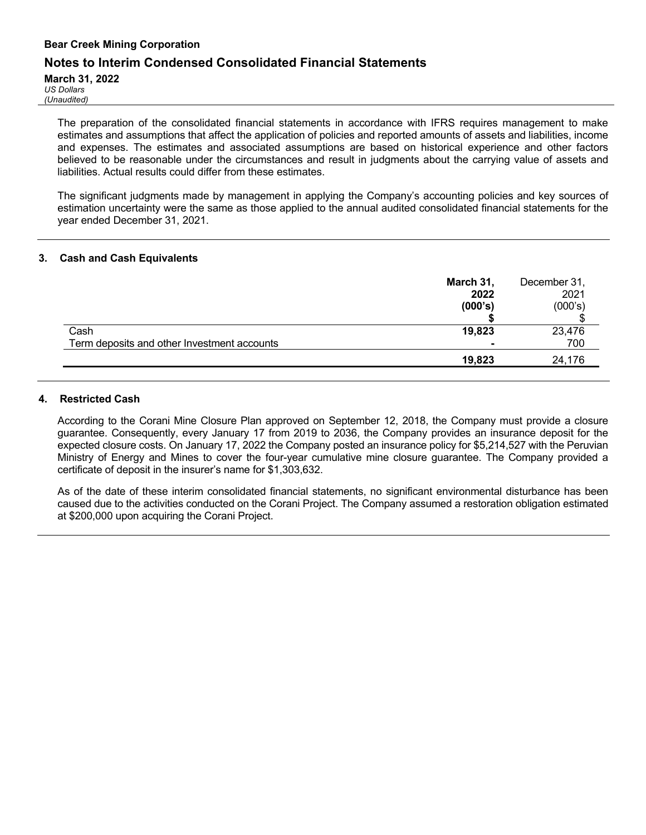### **Notes to Interim Condensed Consolidated Financial Statements**

**March 31, 2022**

*US Dollars (Unaudited)*

> The preparation of the consolidated financial statements in accordance with IFRS requires management to make estimates and assumptions that affect the application of policies and reported amounts of assets and liabilities, income and expenses. The estimates and associated assumptions are based on historical experience and other factors believed to be reasonable under the circumstances and result in judgments about the carrying value of assets and liabilities. Actual results could differ from these estimates.

> The significant judgments made by management in applying the Company's accounting policies and key sources of estimation uncertainty were the same as those applied to the annual audited consolidated financial statements for the year ended December 31, 2021.

#### **3. Cash and Cash Equivalents**

|                                             | March 31,<br>2022<br>(000's) | December 31,<br>2021<br>(000's) |
|---------------------------------------------|------------------------------|---------------------------------|
| Cash                                        | 19,823                       | 23,476                          |
| Term deposits and other Investment accounts |                              | 700                             |
|                                             | 19,823                       | 24,176                          |

#### **4. Restricted Cash**

According to the Corani Mine Closure Plan approved on September 12, 2018, the Company must provide a closure guarantee. Consequently, every January 17 from 2019 to 2036, the Company provides an insurance deposit for the expected closure costs. On January 17, 2022 the Company posted an insurance policy for \$5,214,527 with the Peruvian Ministry of Energy and Mines to cover the four-year cumulative mine closure guarantee. The Company provided a certificate of deposit in the insurer's name for \$1,303,632.

As of the date of these interim consolidated financial statements, no significant environmental disturbance has been caused due to the activities conducted on the Corani Project. The Company assumed a restoration obligation estimated at \$200,000 upon acquiring the Corani Project.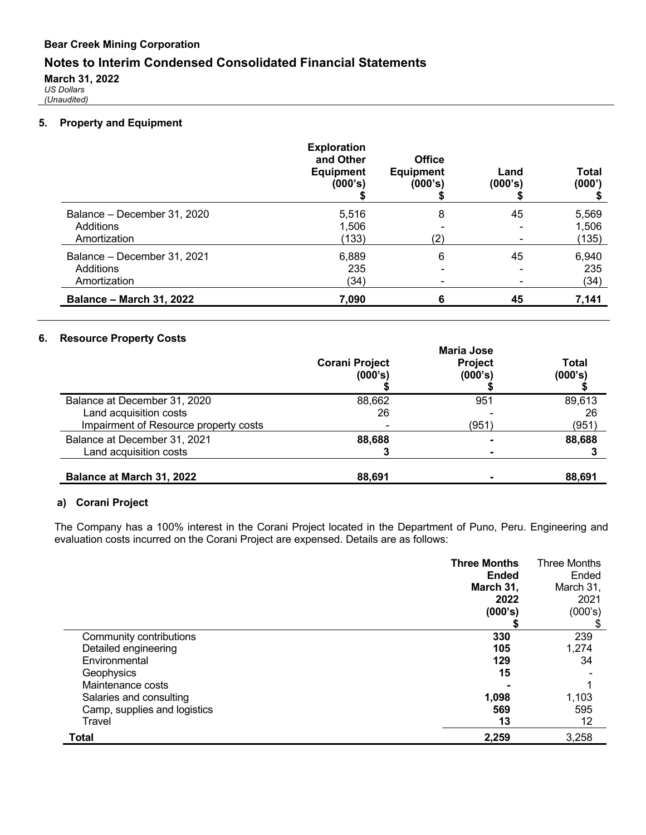## **Notes to Interim Condensed Consolidated Financial Statements**

**March 31, 2022**

*US Dollars (Unaudited)*

#### **5. Property and Equipment**

|                                                          | <b>Exploration</b><br>and Other<br><b>Equipment</b><br>(000's) | <b>Office</b><br><b>Equipment</b><br>(000's) | Land<br>(000's) | <b>Total</b><br>(000')  |
|----------------------------------------------------------|----------------------------------------------------------------|----------------------------------------------|-----------------|-------------------------|
| Balance - December 31, 2020<br>Additions<br>Amortization | 5,516<br>1,506<br>(133)                                        | 8<br>(2)                                     | 45              | 5,569<br>1,506<br>(135) |
| Balance - December 31, 2021<br>Additions<br>Amortization | 6,889<br>235<br>(34)                                           | 6<br>$\overline{\phantom{0}}$                | 45              | 6,940<br>235<br>(34)    |
| <b>Balance - March 31, 2022</b>                          | 7,090                                                          | 6                                            | 45              | 7,141                   |

#### **6. Resource Property Costs**

|                                                                                                 | <b>Maria Jose</b>                |                    |                       |  |
|-------------------------------------------------------------------------------------------------|----------------------------------|--------------------|-----------------------|--|
|                                                                                                 | <b>Corani Project</b><br>(000's) | Project<br>(000's) | Total<br>(000's)      |  |
| Balance at December 31, 2020<br>Land acquisition costs<br>Impairment of Resource property costs | 88,662<br>26                     | 951<br>(951)       | 89,613<br>26<br>(951) |  |
| Balance at December 31, 2021<br>Land acquisition costs                                          | 88,688                           |                    | 88,688                |  |
| Balance at March 31, 2022                                                                       | 88,691                           |                    | 88.691                |  |

### **a) Corani Project**

The Company has a 100% interest in the Corani Project located in the Department of Puno, Peru. Engineering and evaluation costs incurred on the Corani Project are expensed. Details are as follows:

|                              | <b>Three Months</b><br><b>Ended</b><br>March 31,<br>2022 | <b>Three Months</b><br>Ended<br>March 31,<br>2021 |
|------------------------------|----------------------------------------------------------|---------------------------------------------------|
|                              | (000's)                                                  | (000's)                                           |
| Community contributions      | 330                                                      | 239                                               |
| Detailed engineering         | 105                                                      | 1,274                                             |
| Environmental                | 129                                                      | 34                                                |
| Geophysics                   | 15                                                       |                                                   |
| Maintenance costs            |                                                          |                                                   |
| Salaries and consulting      | 1,098                                                    | 1,103                                             |
| Camp, supplies and logistics | 569                                                      | 595                                               |
| Travel                       | 13                                                       | 12                                                |
| <b>Total</b>                 | 2,259                                                    | 3,258                                             |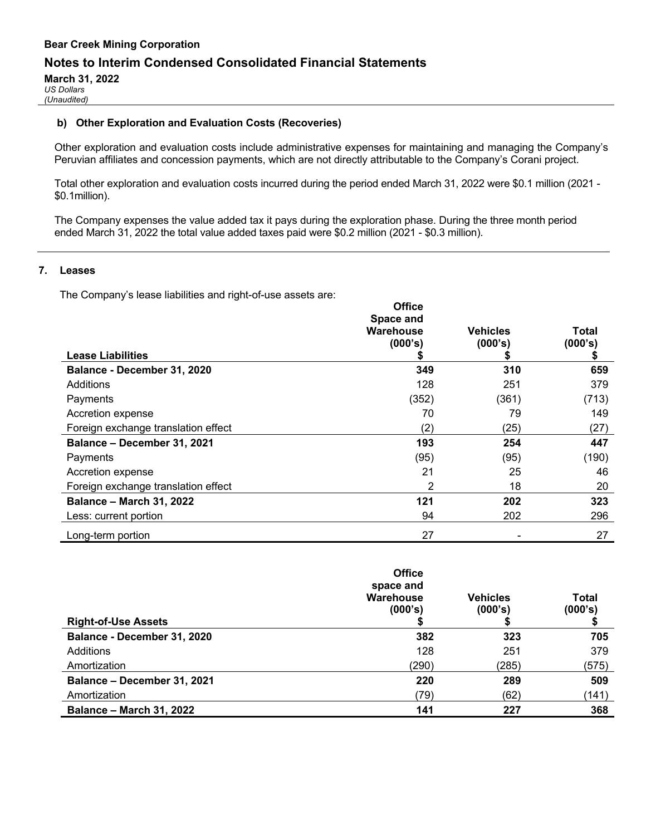### **Notes to Interim Condensed Consolidated Financial Statements**

**March 31, 2022** *US Dollars*

*(Unaudited)*

#### **b) Other Exploration and Evaluation Costs (Recoveries)**

Other exploration and evaluation costs include administrative expenses for maintaining and managing the Company's Peruvian affiliates and concession payments, which are not directly attributable to the Company's Corani project.

Total other exploration and evaluation costs incurred during the period ended March 31, 2022 were \$0.1 million (2021 - \$0.1million).

The Company expenses the value added tax it pays during the exploration phase. During the three month period ended March 31, 2022 the total value added taxes paid were \$0.2 million (2021 - \$0.3 million).

#### **7. Leases**

The Company's lease liabilities and right-of-use assets are:

|                                     | <b>Office</b><br>Space and<br>Warehouse<br>(000's) | <b>Vehicles</b><br>(000's) | Total<br>(000's) |
|-------------------------------------|----------------------------------------------------|----------------------------|------------------|
| <b>Lease Liabilities</b>            |                                                    |                            |                  |
| Balance - December 31, 2020         | 349                                                | 310                        | 659              |
| Additions                           | 128                                                | 251                        | 379              |
| Payments                            | (352)                                              | (361)                      | (713)            |
| Accretion expense                   | 70                                                 | 79                         | 149              |
| Foreign exchange translation effect | (2)                                                | (25)                       | (27)             |
| Balance - December 31, 2021         | 193                                                | 254                        | 447              |
| Payments                            | (95)                                               | (95)                       | (190)            |
| Accretion expense                   | 21                                                 | 25                         | 46               |
| Foreign exchange translation effect | 2                                                  | 18                         | 20               |
| <b>Balance - March 31, 2022</b>     | 121                                                | 202                        | 323              |
| Less: current portion               | 94                                                 | 202                        | 296              |
| Long-term portion                   | 27                                                 |                            | 27               |

| <b>Right-of-Use Assets</b>      | <b>Office</b><br>space and<br>Warehouse<br>(000's) | <b>Vehicles</b><br>(000's) | <b>Total</b><br>(000's) |
|---------------------------------|----------------------------------------------------|----------------------------|-------------------------|
| Balance - December 31, 2020     | 382                                                | 323                        | 705                     |
| Additions                       | 128                                                | 251                        | 379                     |
| Amortization                    | (290)                                              | (285)                      | (575)                   |
| Balance - December 31, 2021     | 220                                                | 289                        | 509                     |
| Amortization                    | (79)                                               | (62)                       | (141)                   |
| <b>Balance - March 31, 2022</b> | 141                                                | 227                        | 368                     |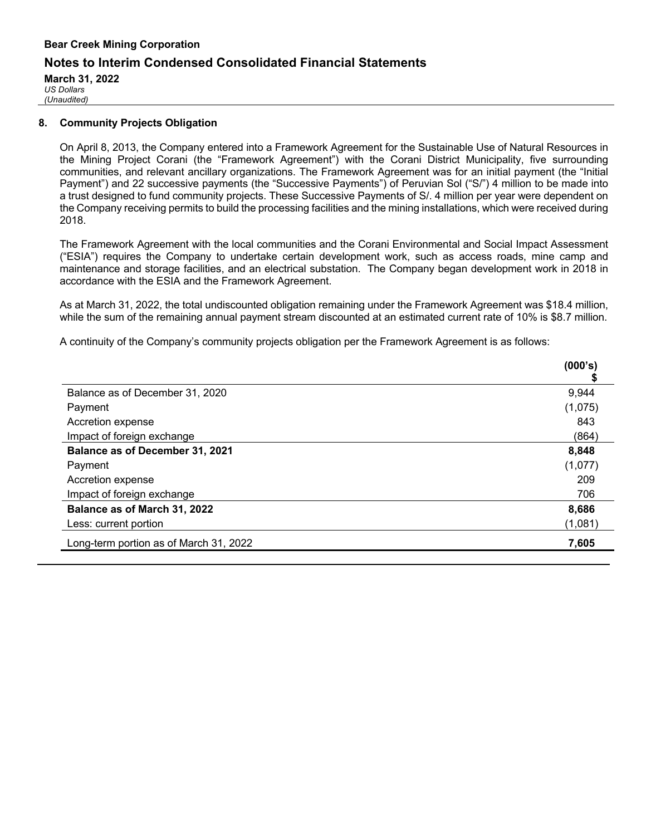## **Bear Creek Mining Corporation Notes to Interim Condensed Consolidated Financial Statements March 31, 2022**

*US Dollars (Unaudited)*

## **8. Community Projects Obligation**

On April 8, 2013, the Company entered into a Framework Agreement for the Sustainable Use of Natural Resources in the Mining Project Corani (the "Framework Agreement") with the Corani District Municipality, five surrounding communities, and relevant ancillary organizations. The Framework Agreement was for an initial payment (the "Initial Payment") and 22 successive payments (the "Successive Payments") of Peruvian Sol ("S/") 4 million to be made into a trust designed to fund community projects. These Successive Payments of S/. 4 million per year were dependent on the Company receiving permits to build the processing facilities and the mining installations, which were received during 2018.

The Framework Agreement with the local communities and the Corani Environmental and Social Impact Assessment ("ESIA") requires the Company to undertake certain development work, such as access roads, mine camp and maintenance and storage facilities, and an electrical substation. The Company began development work in 2018 in accordance with the ESIA and the Framework Agreement.

As at March 31, 2022, the total undiscounted obligation remaining under the Framework Agreement was \$18.4 million, while the sum of the remaining annual payment stream discounted at an estimated current rate of 10% is \$8.7 million.

A continuity of the Company's community projects obligation per the Framework Agreement is as follows:

| (000's  |
|---------|
| 9,944   |
| (1,075) |
| 843     |
| (864)   |
| 8,848   |
| (1,077) |
| 209     |
| 706     |
| 8,686   |
| (1,081) |
| 7,605   |
|         |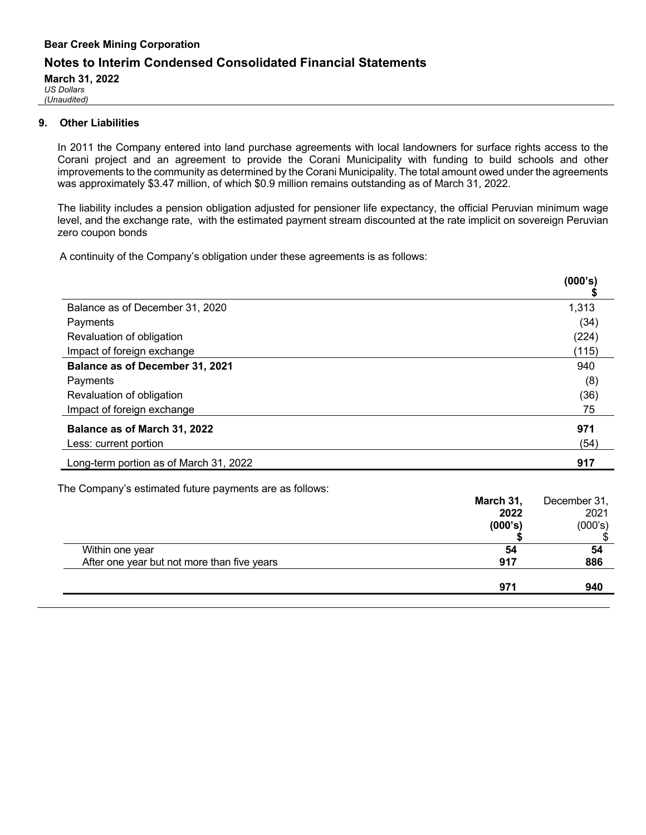## **Bear Creek Mining Corporation Notes to Interim Condensed Consolidated Financial Statements**

**March 31, 2022**

*US Dollars (Unaudited)*

#### **9. Other Liabilities**

In 2011 the Company entered into land purchase agreements with local landowners for surface rights access to the Corani project and an agreement to provide the Corani Municipality with funding to build schools and other improvements to the community as determined by the Corani Municipality. The total amount owed under the agreements was approximately \$3.47 million, of which \$0.9 million remains outstanding as of March 31, 2022.

The liability includes a pension obligation adjusted for pensioner life expectancy, the official Peruvian minimum wage level, and the exchange rate, with the estimated payment stream discounted at the rate implicit on sovereign Peruvian zero coupon bonds

A continuity of the Company's obligation under these agreements is as follows:

|                                        | (000's) |
|----------------------------------------|---------|
| Balance as of December 31, 2020        | 1,313   |
| Payments                               | (34)    |
| Revaluation of obligation              | (224)   |
| Impact of foreign exchange             | (115)   |
| <b>Balance as of December 31, 2021</b> | 940     |
| Payments                               | (8)     |
| Revaluation of obligation              | (36)    |
| Impact of foreign exchange             | 75      |
| Balance as of March 31, 2022           | 971     |
| Less: current portion                  | (54)    |
| Long-term portion as of March 31, 2022 | 917     |

The Company's estimated future payments are as follows:

|                                             | March 31, | December 31, |
|---------------------------------------------|-----------|--------------|
|                                             | 2022      | 2021         |
|                                             | (000's)   | (000's)      |
|                                             |           |              |
| Within one year                             | 54        | 54           |
| After one year but not more than five years | 917       | 886          |
|                                             |           |              |
|                                             | 971       | 940          |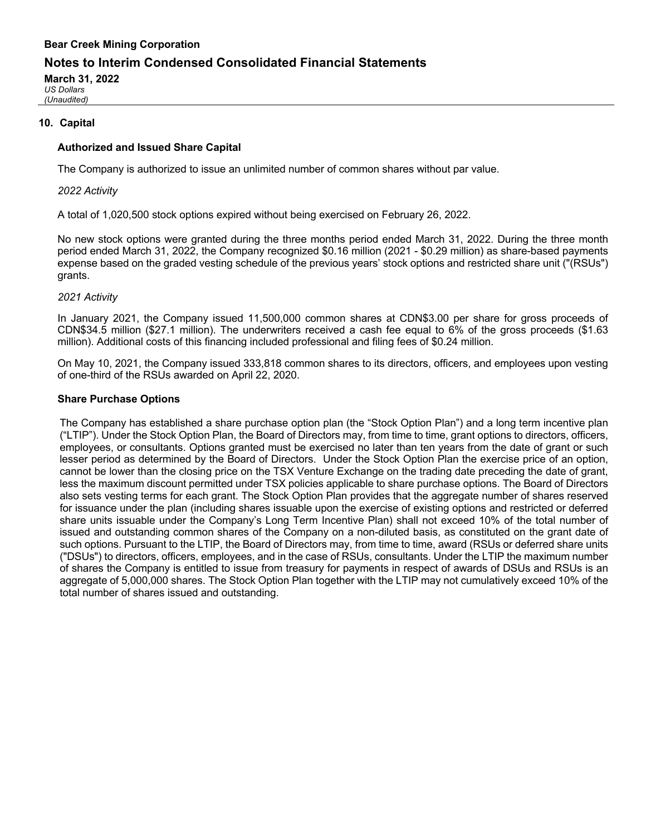## **Notes to Interim Condensed Consolidated Financial Statements**

**March 31, 2022**

*US Dollars (Unaudited)*

#### **10. Capital**

#### **Authorized and Issued Share Capital**

The Company is authorized to issue an unlimited number of common shares without par value.

#### *2022 Activity*

A total of 1,020,500 stock options expired without being exercised on February 26, 2022.

No new stock options were granted during the three months period ended March 31, 2022. During the three month period ended March 31, 2022, the Company recognized \$0.16 million (2021 - \$0.29 million) as share-based payments expense based on the graded vesting schedule of the previous years' stock options and restricted share unit ("(RSUs") grants.

#### *2021 Activity*

In January 2021, the Company issued 11,500,000 common shares at CDN\$3.00 per share for gross proceeds of CDN\$34.5 million (\$27.1 million). The underwriters received a cash fee equal to 6% of the gross proceeds (\$1.63 million). Additional costs of this financing included professional and filing fees of \$0.24 million.

On May 10, 2021, the Company issued 333,818 common shares to its directors, officers, and employees upon vesting of one-third of the RSUs awarded on April 22, 2020.

#### **Share Purchase Options**

The Company has established a share purchase option plan (the "Stock Option Plan") and a long term incentive plan ("LTIP"). Under the Stock Option Plan, the Board of Directors may, from time to time, grant options to directors, officers, employees, or consultants. Options granted must be exercised no later than ten years from the date of grant or such lesser period as determined by the Board of Directors. Under the Stock Option Plan the exercise price of an option, cannot be lower than the closing price on the TSX Venture Exchange on the trading date preceding the date of grant, less the maximum discount permitted under TSX policies applicable to share purchase options. The Board of Directors also sets vesting terms for each grant. The Stock Option Plan provides that the aggregate number of shares reserved for issuance under the plan (including shares issuable upon the exercise of existing options and restricted or deferred share units issuable under the Company's Long Term Incentive Plan) shall not exceed 10% of the total number of issued and outstanding common shares of the Company on a non-diluted basis, as constituted on the grant date of such options. Pursuant to the LTIP, the Board of Directors may, from time to time, award (RSUs or deferred share units ("DSUs") to directors, officers, employees, and in the case of RSUs, consultants. Under the LTIP the maximum number of shares the Company is entitled to issue from treasury for payments in respect of awards of DSUs and RSUs is an aggregate of 5,000,000 shares. The Stock Option Plan together with the LTIP may not cumulatively exceed 10% of the total number of shares issued and outstanding.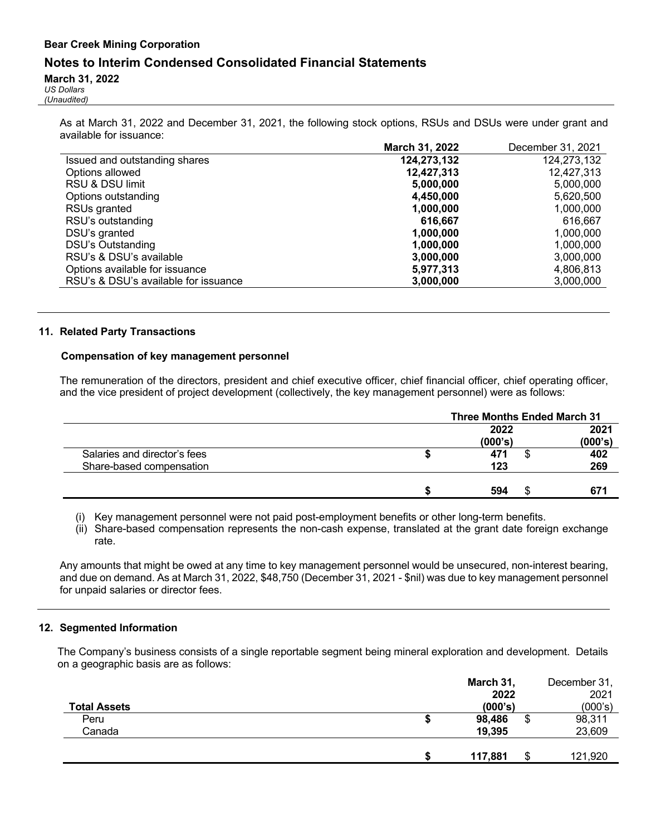## **Notes to Interim Condensed Consolidated Financial Statements**

#### **March 31, 2022**

*US Dollars (Unaudited)*

> As at March 31, 2022 and December 31, 2021, the following stock options, RSUs and DSUs were under grant and available for issuance:

|                                      | March 31, 2022 | December 31, 2021 |
|--------------------------------------|----------------|-------------------|
| Issued and outstanding shares        | 124,273,132    | 124,273,132       |
| Options allowed                      | 12,427,313     | 12,427,313        |
| RSU & DSU limit                      | 5,000,000      | 5,000,000         |
| Options outstanding                  | 4,450,000      | 5,620,500         |
| RSUs granted                         | 1,000,000      | 1,000,000         |
| RSU's outstanding                    | 616,667        | 616.667           |
| DSU's granted                        | 1,000,000      | 1,000,000         |
| DSU's Outstanding                    | 1,000,000      | 1,000,000         |
| RSU's & DSU's available              | 3,000,000      | 3,000,000         |
| Options available for issuance       | 5,977,313      | 4,806,813         |
| RSU's & DSU's available for issuance | 3,000,000      | 3,000,000         |
|                                      |                |                   |

#### **11. Related Party Transactions**

#### **Compensation of key management personnel**

The remuneration of the directors, president and chief executive officer, chief financial officer, chief operating officer, and the vice president of project development (collectively, the key management personnel) were as follows:

|                              | <b>Three Months Ended March 31</b> |    |         |
|------------------------------|------------------------------------|----|---------|
|                              | 2022                               |    | 2021    |
|                              | (000's)                            |    | (000's) |
| Salaries and director's fees | 471                                |    | 402     |
| Share-based compensation     | 123                                |    | 269     |
|                              |                                    |    |         |
|                              | 594                                | кĐ | 671     |

(i) Key management personnel were not paid post-employment benefits or other long-term benefits.

(ii) Share-based compensation represents the non-cash expense, translated at the grant date foreign exchange rate.

Any amounts that might be owed at any time to key management personnel would be unsecured, non-interest bearing, and due on demand. As at March 31, 2022, \$48,750 (December 31, 2021 - \$nil) was due to key management personnel for unpaid salaries or director fees.

#### **12. Segmented Information**

The Company's business consists of a single reportable segment being mineral exploration and development. Details on a geographic basis are as follows:

|                     | March 31,          | December 31, |
|---------------------|--------------------|--------------|
|                     | 2022               | 2021         |
| <b>Total Assets</b> | (000's)            | (000's)      |
| Peru                | 98,486<br>ጥ<br>Φ   | 98,311       |
| Canada              | 19,395             | 23,609       |
|                     |                    |              |
|                     | 117,881<br>ጥ<br>۰D | 121,920      |